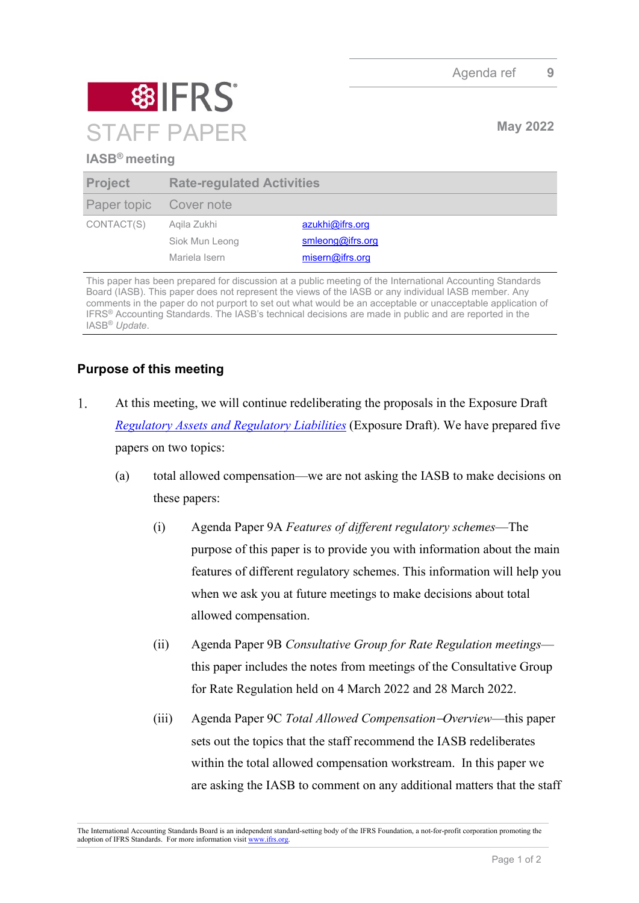

## **IASB® meeting**

| <b>Project</b>         | <b>Rate-regulated Activities</b> |                  |
|------------------------|----------------------------------|------------------|
| Paper topic Cover note |                                  |                  |
| CONTACT(S)             | Agila Zukhi                      | azukhi@ifrs.org  |
|                        | Siok Mun Leong                   | smleong@ifrs.org |
|                        | Mariela Isern                    | misern@ifrs.org  |

This paper has been prepared for discussion at a public meeting of the International Accounting Standards Board (IASB). This paper does not represent the views of the IASB or any individual IASB member. Any comments in the paper do not purport to set out what would be an acceptable or unacceptable application of IFRS® Accounting Standards. The IASB's technical decisions are made in public and are reported in the IASB® *Update*.

## **Purpose of this meeting**

- $1.$ At this meeting, we will continue redeliberating the proposals in the Exposure Draft *[Regulatory Assets and Regulatory Liabilities](https://www.ifrs.org/content/dam/ifrs/project/rate-regulated-activities/published-documents/ed2021-rra.pdf)* (Exposure Draft). We have prepared five papers on two topics:
	- (a) total allowed compensation—we are not asking the IASB to make decisions on these papers:
		- (i) Agenda Paper 9A *Features of different regulatory schemes*—The purpose of this paper is to provide you with information about the main features of different regulatory schemes. This information will help you when we ask you at future meetings to make decisions about total allowed compensation.
		- (ii) Agenda Paper 9B *Consultative Group for Rate Regulation meetings* this paper includes the notes from meetings of the Consultative Group for Rate Regulation held on 4 March 2022 and 28 March 2022.
		- (iii) Agenda Paper 9C *Total Allowed Compensation*−*Overview*—this paper sets out the topics that the staff recommend the IASB redeliberates within the total allowed compensation workstream. In this paper we are asking the IASB to comment on any additional matters that the staff

The International Accounting Standards Board is an independent standard-setting body of the IFRS Foundation, a not-for-profit corporation promoting the adoption of IFRS Standards. For more information visit [www.ifrs.org.](http://www.ifrs.org/)